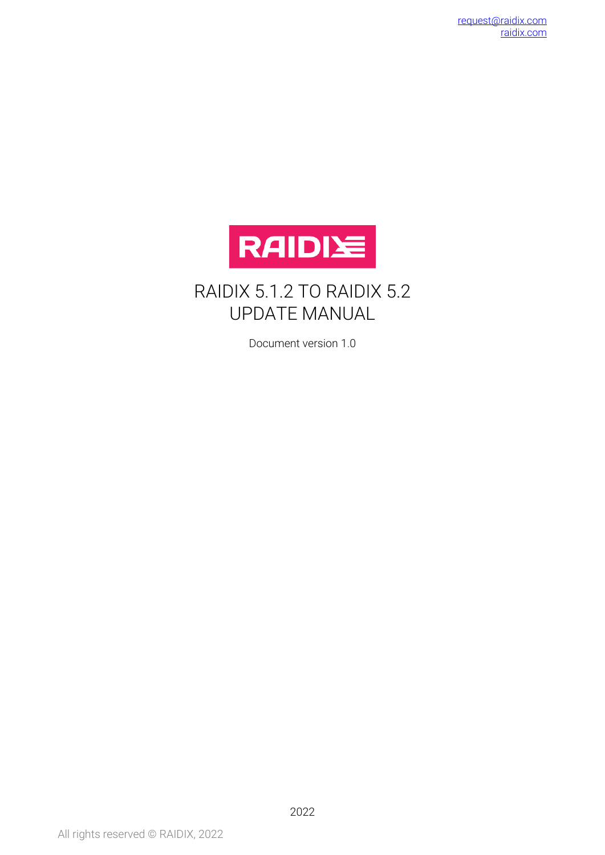

### RAIDIX 5.1.2 TO RAIDIX 5.2 UPDATE MANUAL

Document version 1.0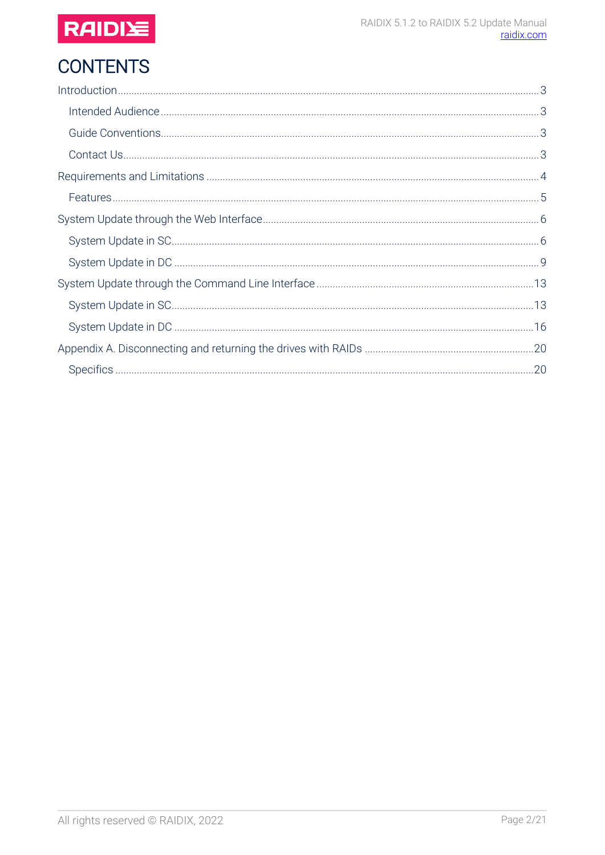

# **CONTENTS**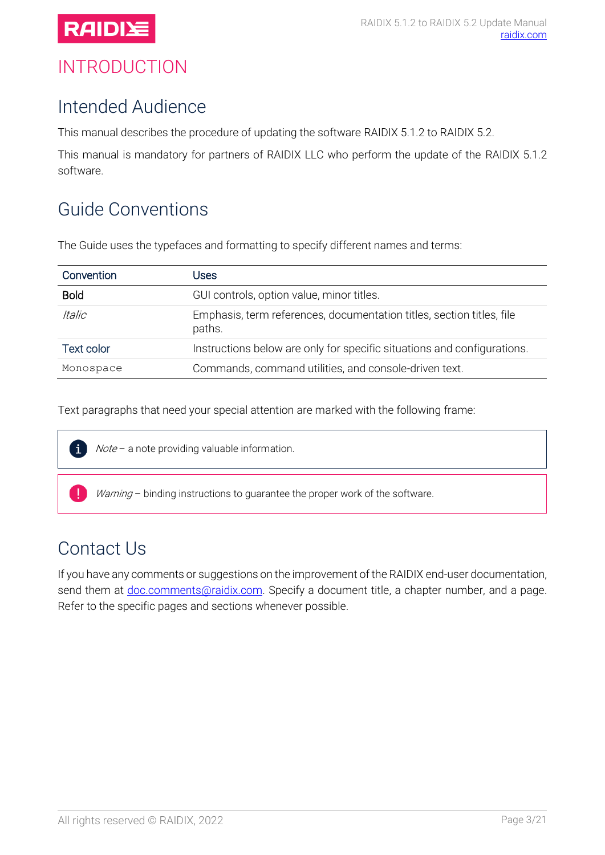

### <span id="page-2-0"></span>INTRODUCTION

### <span id="page-2-1"></span>Intended Audience

This manual describes the procedure of updating the software RAIDIX 5.1.2 to RAIDIX 5.2.

This manual is mandatory for partners of RAIDIX LLC who perform the update of the RAIDIX 5.1.2 software.

# <span id="page-2-2"></span>Guide Conventions

The Guide uses the typefaces and formatting to specify different names and terms:

| Convention           | Jses                                                                            |
|----------------------|---------------------------------------------------------------------------------|
| <b>Bold</b>          | GUI controls, option value, minor titles.                                       |
| <i><b>Italic</b></i> | Emphasis, term references, documentation titles, section titles, file<br>paths. |
| Text color           | Instructions below are only for specific situations and configurations.         |
| Monospace            | Commands, command utilities, and console-driven text.                           |

Text paragraphs that need your special attention are marked with the following frame:



Note - a note providing valuable information.

Warning - binding instructions to guarantee the proper work of the software.

### <span id="page-2-3"></span>Contact Us

If you have any comments or suggestions on the improvement of the RAIDIX end-user documentation, send them at *doc.comments@raidix.com*. Specify a document title, a chapter number, and a page. Refer to the specific pages and sections whenever possible.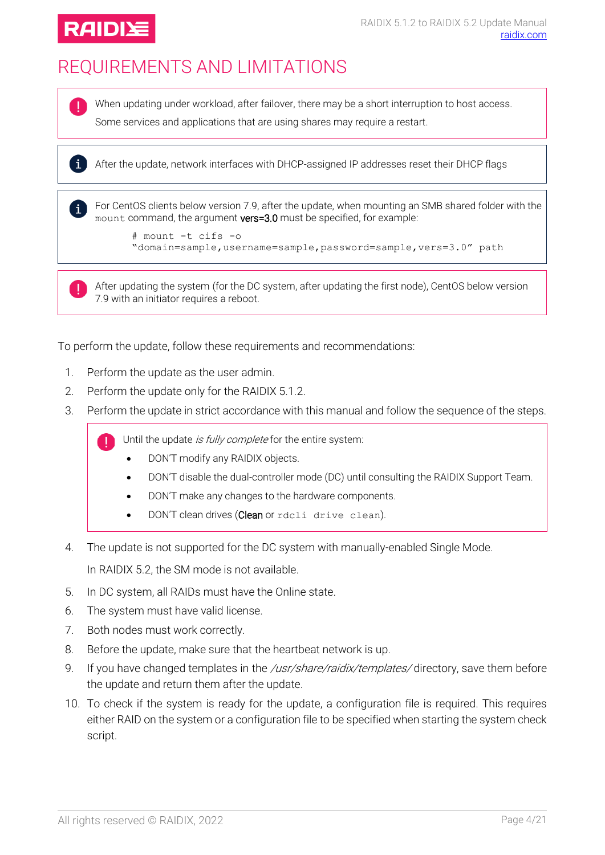

# <span id="page-3-0"></span>REQUIREMENTS AND LIMITATIONS

 $\mathbf{i}$ 

Ţ

When updating under workload, after failover, there may be a short interruption to host access. Some services and applications that are using shares may require a restart.

i After the update, network interfaces with DHCP-assigned IP addresses reset their DHCP flags

For CentOS clients below version 7.9, after the update, when mounting an SMB shared folder with the mount command, the argument vers=3.0 must be specified, for example:

```
# mount -t cifs -o 
"domain=sample,username=sample,password=sample,vers=3.0" path
```
After updating the system (for the DC system, after updating the first node), CentOS below version 7.9 with an initiator requires a reboot.

To perform the update, follow these requirements and recommendations:

- 1. Perform the update as the user admin.
- 2. Perform the update only for the RAIDIX 5.1.2.
- 3. Perform the update in strict accordance with this manual and follow the sequence of the steps.

Until the update is fully complete for the entire system:

- DON'T modify any RAIDIX objects.
- DON'T disable the dual-controller mode (DC) until consulting the RAIDIX Support Team.
- DON'T make any changes to the hardware components.
- DON'T clean drives (Clean or rdcli drive clean).
- 4. The update is not supported for the DC system with manually-enabled Single Mode.

In RAIDIX 5.2, the SM mode is not available.

- 5. In DC system, all RAIDs must have the Online state.
- 6. The system must have valid license.
- 7. Both nodes must work correctly.
- 8. Before the update, make sure that the heartbeat network is up.
- 9. If you have changed templates in the /usr/share/raidix/templates/directory, save them before the update and return them after the update.
- 10. To check if the system is ready for the update, a configuration file is required. This requires either RAID on the system or a configuration file to be specified when starting the system check script.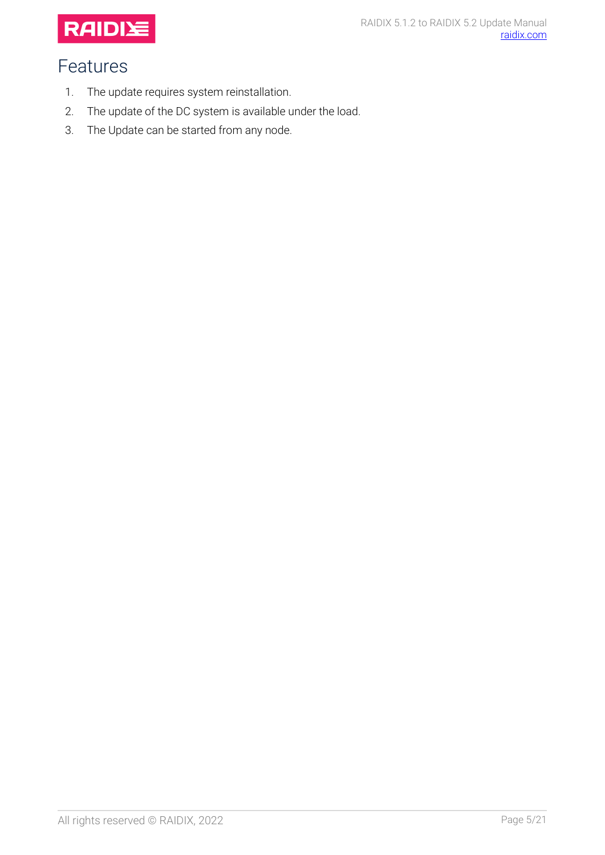

# <span id="page-4-0"></span>Features

- 1. The update requires system reinstallation.
- 2. The update of the DC system is available under the load.
- 3. The Update can be started from any node.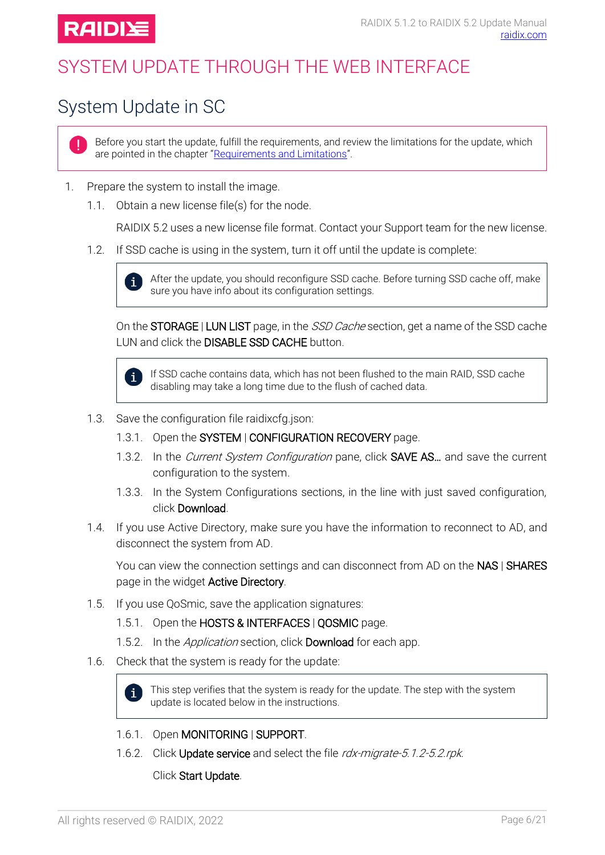

# <span id="page-5-0"></span>SYSTEM UPDATE THROUGH THE WEB INTERFACE

# <span id="page-5-1"></span>System Update in SC

Ţ.

Before you start the update, fulfill the requirements, and review the limitations for the update, which are pointed in the chapter "[Requirements and Limitations](#page-3-0)".

- 1. Prepare the system to install the image.
	- 1.1. Obtain a new license file(s) for the node.

RAIDIX 5.2 uses a new license file format. Contact your Support team for the new license.

1.2. If SSD cache is using in the system, turn it off until the update is complete:



After the update, you should reconfigure SSD cache. Before turning SSD cache off, make sure you have info about its configuration settings.

On the **STORAGE** | LUN LIST page, in the *SSD Cache* section, get a name of the SSD cache LUN and click the **DISABLE SSD CACHE** button.



If SSD cache contains data, which has not been flushed to the main RAID, SSD cache disabling may take a long time due to the flush of cached data.

- 1.3. Save the configuration file raidixcfg.json:
	- 1.3.1. Open the SYSTEM | CONFIGURATION RECOVERY page.
	- 1.3.2. In the Current System Configuration pane, click **SAVE AS...** and save the current configuration to the system.
	- 1.3.3. In the System Configurations sections, in the line with just saved configuration, click Download.
- 1.4. If you use Active Directory, make sure you have the information to reconnect to AD, and disconnect the system from AD.

You can view the connection settings and can disconnect from AD on the NAS | SHARES page in the widget Active Directory.

- 1.5. If you use QoSmic, save the application signatures:
	- 1.5.1. Open the HOSTS & INTERFACES | QOSMIC page.
	- 1.5.2. In the *Application* section, click **Download** for each app.
- 1.6. Check that the system is ready for the update:



- 1.6.1. Open MONITORING | SUPPORT.
- 1.6.2. Click Update service and select the file rdx-migrate-5.1.2-5.2.rpk.

Click Start Update.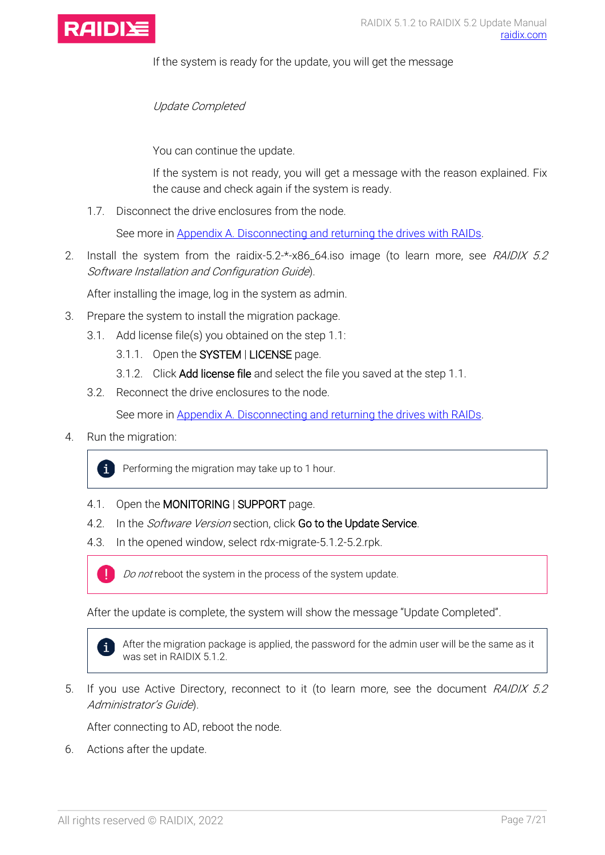

If the system is ready for the update, you will get the message

Update Completed

You can continue the update.

If the system is not ready, you will get a message with the reason explained. Fix the cause and check again if the system is ready.

1.7. Disconnect the drive enclosures from the node.

See more in [Appendix A. Disconnecting and returning](#page-19-0) the drives with RAIDs.

2. Install the system from the raidix-5.2-\*-x86\_64.iso image (to learn more, see RAIDIX 5.2 Software Installation and Configuration Guide).

After installing the image, log in the system as admin.

- 3. Prepare the system to install the migration package.
	- 3.1. Add license file(s) you obtained on the step 1.1:
		- 3.1.1. Open the SYSTEM | LICENSE page.
		- 3.1.2. Click Add license file and select the file you saved at the step 1.1.
	- 3.2. Reconnect the drive enclosures to the node.

See more in [Appendix A. Disconnecting and returning](#page-19-0) the drives with RAIDs.

4. Run the migration:

 $\mathbf{i}$ Performing the migration may take up to 1 hour.

- 4.1. Open the MONITORING | SUPPORT page.
- 4.2. In the *Software Version* section, click Go to the Update Service.
- 4.3. In the opened window, select rdx-migrate-5.1.2-5.2.rpk.



After the update is complete, the system will show the message "Update Completed".



After the migration package is applied, the password for the admin user will be the same as it was set in RAIDIX 5.1.2

5. If you use Active Directory, reconnect to it (to learn more, see the document RAIDIX 5.2 Administrator's Guide).

After connecting to AD, reboot the node.

6. Actions after the update.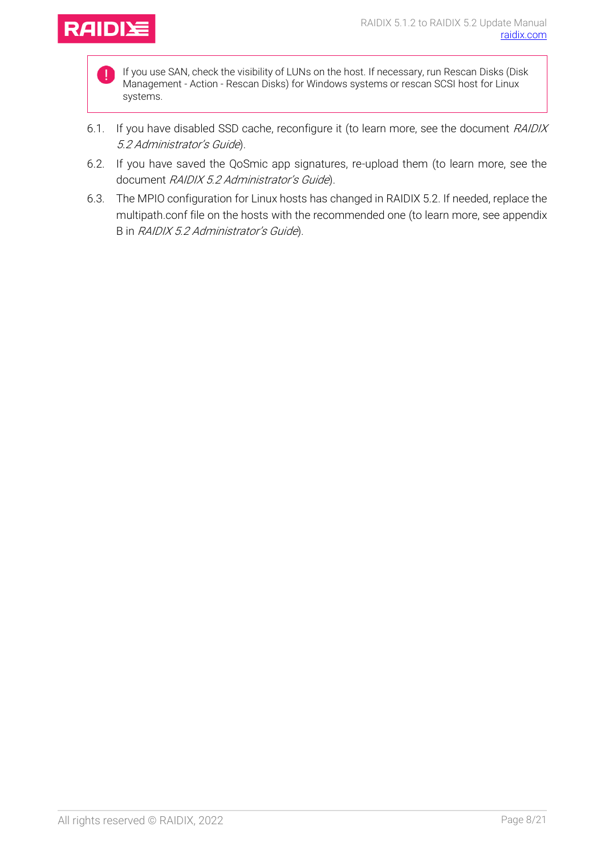

If you use SAN, check the visibility of LUNs on the host. If necessary, run Rescan Disks (Disk Management - Action - Rescan Disks) for Windows systems or rescan SCSI host for Linux systems.

- 6.1. If you have disabled SSD cache, reconfigure it (to learn more, see the document RAIDIX 5.2 Administrator's Guide).
- 6.2. If you have saved the QoSmic app signatures, re-upload them (to learn more, see the document RAIDIX 5.2 Administrator's Guide).
- 6.3. The MPIO configuration for Linux hosts has changed in RAIDIX 5.2. If needed, replace the multipath.conf file on the hosts with the recommended one (to learn more, see appendix B in RAIDIX 5.2 Administrator's Guide).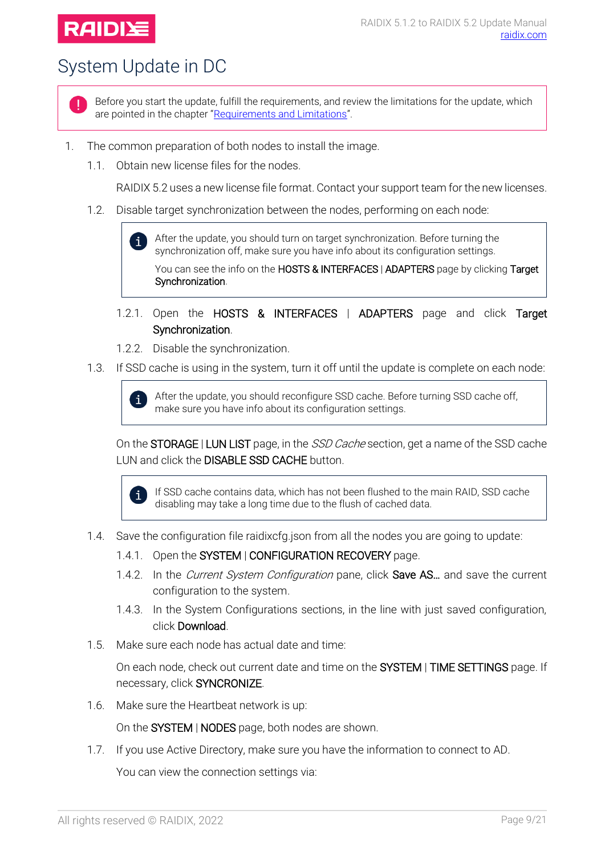# **RAIDIY**

# <span id="page-8-0"></span>System Update in DC

Before you start the update, fulfill the requirements, and review the limitations for the update, which are pointed in the chapter "[Requirements and Limitations](#page-3-0)".

- 1. The common preparation of both nodes to install the image.
	- 1.1. Obtain new license files for the nodes.

RAIDIX 5.2 uses a new license file format. Contact your support team for the new licenses.

1.2. Disable target synchronization between the nodes, performing on each node:

After the update, you should turn on target synchronization. Before turning the  $\mathbf{i}$ synchronization off, make sure you have info about its configuration settings.

You can see the info on the HOSTS & INTERFACES | ADAPTERS page by clicking Target Synchronization.

- 1.2.1. Open the HOSTS & INTERFACES | ADAPTERS page and click Target Synchronization.
- 1.2.2. Disable the synchronization.
- 1.3. If SSD cache is using in the system, turn it off until the update is complete on each node:

After the update, you should reconfigure SSD cache. Before turning SSD cache off,  $\mathbf{i}$ make sure you have info about its configuration settings.

On the **STORAGE** | LUN LIST page, in the *SSD Cache* section, get a name of the SSD cache LUN and click the **DISABLE SSD CACHE** button.



If SSD cache contains data, which has not been flushed to the main RAID, SSD cache disabling may take a long time due to the flush of cached data.

- 1.4. Save the configuration file raidixcfg.json from all the nodes you are going to update:
	- 1.4.1. Open the SYSTEM | CONFIGURATION RECOVERY page.
	- 1.4.2. In the *Current System Configuration* pane, click **Save AS**... and save the current configuration to the system.
	- 1.4.3. In the System Configurations sections, in the line with just saved configuration, click Download.
- 1.5. Make sure each node has actual date and time:

On each node, check out current date and time on the SYSTEM | TIME SETTINGS page. If necessary, click SYNCRONIZE.

1.6. Make sure the Heartbeat network is up:

On the SYSTEM | NODES page, both nodes are shown.

1.7. If you use Active Directory, make sure you have the information to connect to AD.

You can view the connection settings via: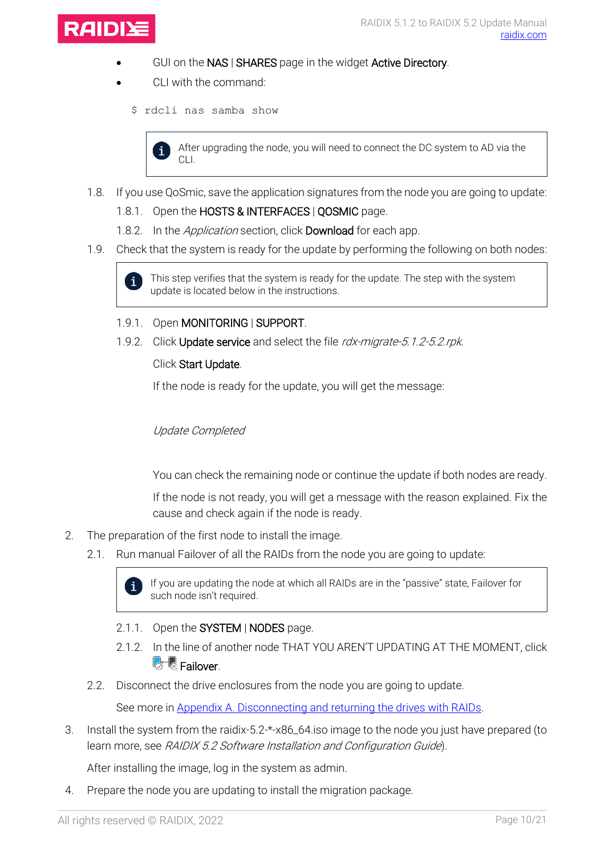

- GUI on the NAS | SHARES page in the widget Active Directory.
- CLI with the command:
	- \$ rdcli nas samba show



After upgrading the node, you will need to connect the DC system to AD via the CLI.

- 1.8. If you use QoSmic, save the application signatures from the node you are going to update:
	- 1.8.1. Open the HOSTS & INTERFACES | QOSMIC page.
	- 1.8.2. In the *Application* section, click **Download** for each app.
- 1.9. Check that the system is ready for the update by performing the following on both nodes:



This step verifies that the system is ready for the update. The step with the system update is located below in the instructions.

- 1.9.1. Open MONITORING | SUPPORT.
- 1.9.2. Click Update service and select the file rdx-migrate-5.1.2-5.2.rpk.

#### Click Start Update.

If the node is ready for the update, you will get the message:

#### Update Completed

You can check the remaining node or continue the update if both nodes are ready.

If the node is not ready, you will get a message with the reason explained. Fix the cause and check again if the node is ready.

- 2. The preparation of the first node to install the image.
	- 2.1. Run manual Failover of all the RAIDs from the node you are going to update:



If you are updating the node at which all RAIDs are in the "passive" state, Failover for such node isn't required.

- 2.1.1. Open the SYSTEM | NODES page.
- 2.1.2. In the line of another node THAT YOU AREN'T UPDATING AT THE MOMENT, click **C**<sub>®</sub> Failover.
- 2.2. Disconnect the drive enclosures from the node you are going to update.

See more in [Appendix A. Disconnecting and returning](#page-19-0) the drives with RAIDs.

3. Install the system from the raidix-5.2-\*-x86\_64.iso image to the node you just have prepared (to learn more, see RAIDIX 5.2 Software Installation and Configuration Guide).

After installing the image, log in the system as admin.

4. Prepare the node you are updating to install the migration package.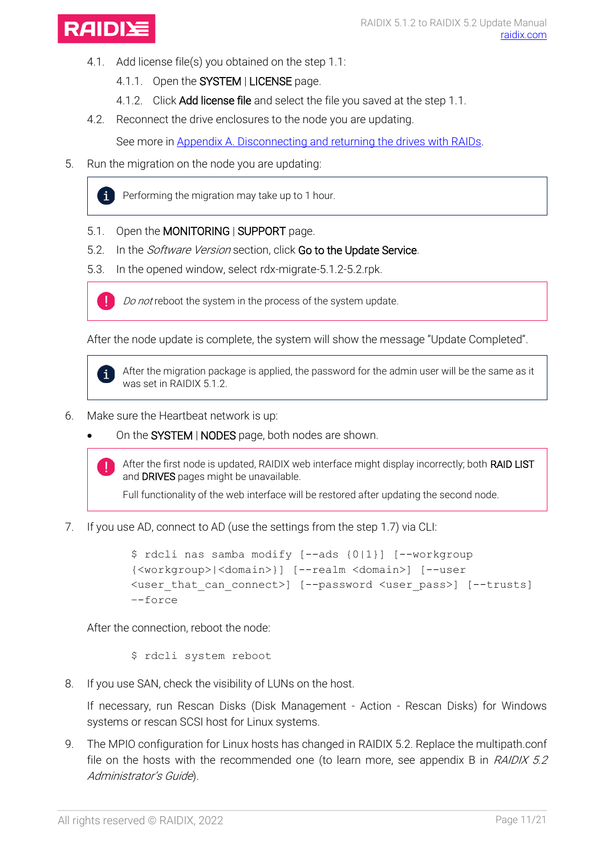

- 4.1. Add license file(s) you obtained on the step 1.1:
	- 4.1.1. Open the SYSTEM | LICENSE page.
	- 4.1.2. Click Add license file and select the file you saved at the step 1.1.
- 4.2. Reconnect the drive enclosures to the node you are updating.

See more in [Appendix A. Disconnecting and returning](#page-19-0) the drives with RAIDs.

5. Run the migration on the node you are updating:



Performing the migration may take up to 1 hour.

- 5.1. Open the MONITORING | SUPPORT page.
- 5.2. In the *Software Version* section, click Go to the Update Service.
- 5.3. In the opened window, select rdx-migrate-5.1.2-5.2.rpk.



Do not reboot the system in the process of the system update.

After the node update is complete, the system will show the message "Update Completed".



After the migration package is applied, the password for the admin user will be the same as it was set in RAIDIX 5.1.2.

- 6. Make sure the Heartbeat network is up:
	- On the SYSTEM | NODES page, both nodes are shown.

After the first node is updated, RAIDIX web interface might display incorrectly; both RAID LIST and **DRIVES** pages might be unavailable.

Full functionality of the web interface will be restored after updating the second node.

7. If you use AD, connect to AD (use the settings from the step 1.7) via CLI:

```
$ rdcli nas samba modify [--ads {0|1}] [--workgroup
{<workgroup>|<domain>}] [--realm <domain>] [--user
<user_that_can_connect>] [--password <user_pass>] [--trusts] 
–-force
```
After the connection, reboot the node:

\$ rdcli system reboot

8. If you use SAN, check the visibility of LUNs on the host.

If necessary, run Rescan Disks (Disk Management - Action - Rescan Disks) for Windows systems or rescan SCSI host for Linux systems.

9. The MPIO configuration for Linux hosts has changed in RAIDIX 5.2. Replace the multipath.conf file on the hosts with the recommended one (to learn more, see appendix B in  $RAIDIX$  5.2 Administrator's Guide).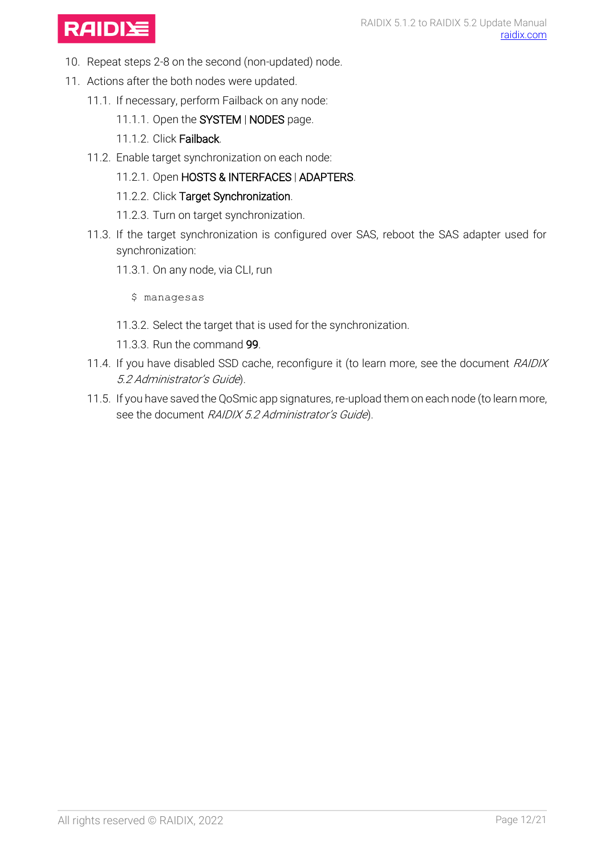

- 10. Repeat steps 2-8 on the second (non-updated) node.
- 11. Actions after the both nodes were updated.
	- 11.1. If necessary, perform Failback on any node:
		- 11.1.1. Open the SYSTEM | NODES page.
		- 11.1.2. Click Failback.
	- 11.2. Enable target synchronization on each node:
		- 11.2.1. Open HOSTS & INTERFACES | ADAPTERS.
		- 11.2.2. Click Target Synchronization.
		- 11.2.3. Turn on target synchronization.
	- 11.3. If the target synchronization is configured over SAS, reboot the SAS adapter used for synchronization:
		- 11.3.1. On any node, via CLI, run
			- \$ managesas
		- 11.3.2. Select the target that is used for the synchronization.
		- 11.3.3. Run the command 99.
	- 11.4. If you have disabled SSD cache, reconfigure it (to learn more, see the document RAIDIX 5.2 Administrator's Guide).
	- 11.5. If you have saved the QoSmic app signatures, re-upload them on each node (to learn more, see the document RAIDIX 5.2 Administrator's Guide).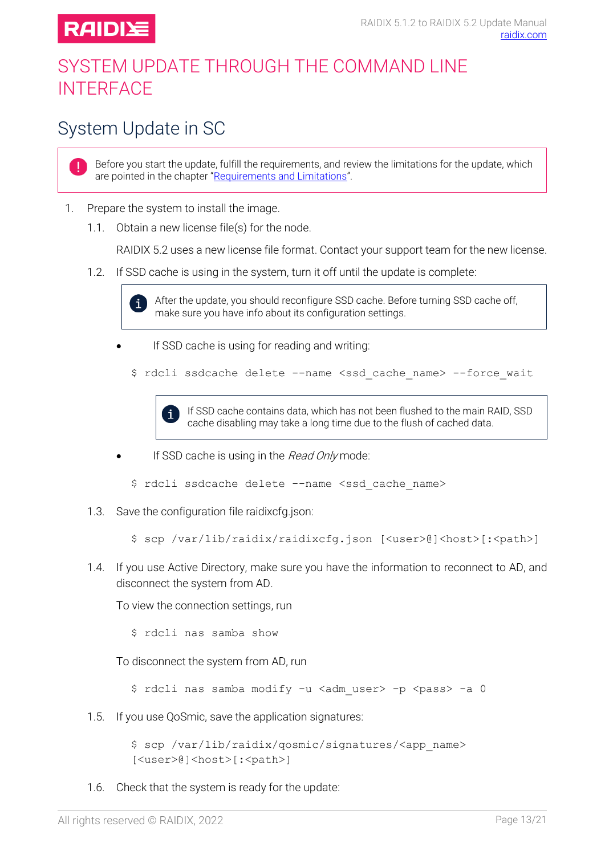

### <span id="page-12-0"></span>SYSTEM UPDATE THROUGH THE COMMAND LINE **INTERFACE**

# <span id="page-12-1"></span>System Update in SC

Before you start the update, fulfill the requirements, and review the limitations for the update, which are pointed in the chapter "[Requirements and Limitations](#page-3-0)".

- 1. Prepare the system to install the image.
	- 1.1. Obtain a new license file(s) for the node.

RAIDIX 5.2 uses a new license file format. Contact your support team for the new license.

1.2. If SSD cache is using in the system, turn it off until the update is complete:



- If SSD cache is using for reading and writing:
	- \$ rdcli ssdcache delete --name <ssd cache name> --force wait



- If SSD cache is using in the Read Only mode:
	- \$ rdcli ssdcache delete --name <ssd\_cache\_name>
- 1.3. Save the configuration file raidixcfg.json:

\$ scp /var/lib/raidix/raidixcfg.json [<user>@]<host>[:<path>]

1.4. If you use Active Directory, make sure you have the information to reconnect to AD, and disconnect the system from AD.

To view the connection settings, run

\$ rdcli nas samba show

To disconnect the system from AD, run

\$ rdcli nas samba modify -u <adm user> -p <pass> -a 0

1.5. If you use QoSmic, save the application signatures:

\$ scp /var/lib/raidix/qosmic/signatures/<app\_name> [<user>@]<host>[:<path>]

1.6. Check that the system is ready for the update: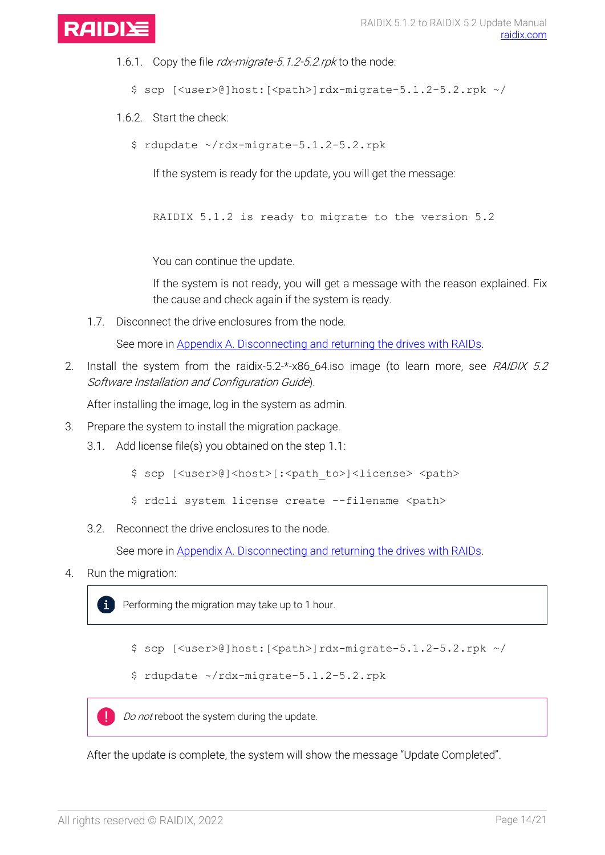

- 1.6.1. Copy the file rdx-migrate-5.1.2-5.2.rpk to the node:
	- $$ sep$  [<user>@]host:[<path>]rdx-migrate-5.1.2-5.2.rpk ~/
- 1.6.2. Start the check:
	- \$ rdupdate ~/rdx-migrate-5.1.2-5.2.rpk

If the system is ready for the update, you will get the message:

RAIDIX 5.1.2 is ready to migrate to the version 5.2

You can continue the update.

If the system is not ready, you will get a message with the reason explained. Fix the cause and check again if the system is ready.

1.7. Disconnect the drive enclosures from the node.

See more in [Appendix A. Disconnecting and returning](#page-19-0) the drives with RAIDs.

2. Install the system from the raidix-5.2-\*-x86\_64.iso image (to learn more, see RAIDIX 5.2 Software Installation and Configuration Guide).

After installing the image, log in the system as admin.

- 3. Prepare the system to install the migration package.
	- 3.1. Add license file(s) you obtained on the step 1.1:
		- \$ scp [<user>@]<host>[:<path\_to>]<license> <path>
		- \$ rdcli system license create --filename <path>
	- 3.2. Reconnect the drive enclosures to the node.

See more in [Appendix A. Disconnecting and returning](#page-19-0) the drives with RAIDs.

4. Run the migration:

Performing the migration may take up to 1 hour.

\$ scp [<user>@]host:[<path>]rdx-migrate-5.1.2-5.2.rpk ~/

\$ rdupdate ~/rdx-migrate-5.1.2-5.2.rpk

т Do not reboot the system during the update.

After the update is complete, the system will show the message "Update Completed".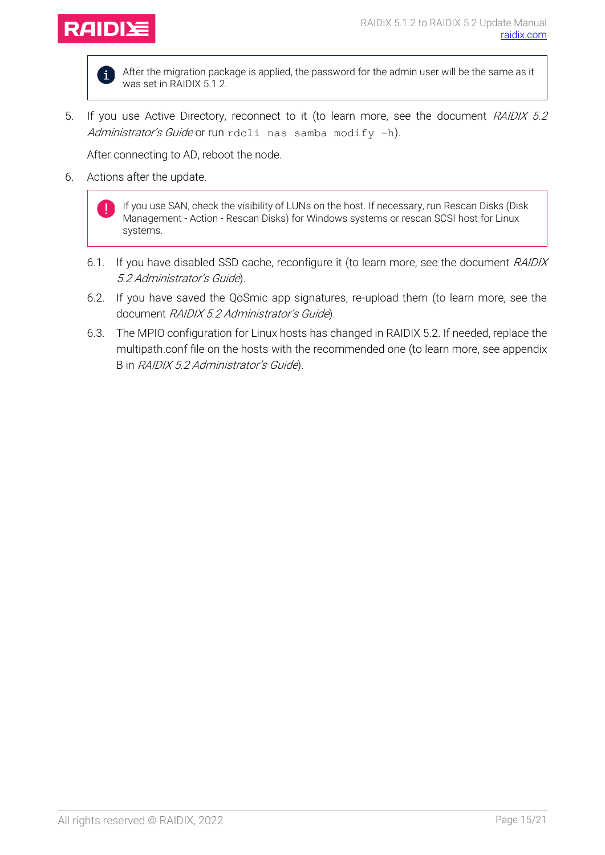

 $\mathbf{i}$ 

After the migration package is applied, the password for the admin user will be the same as it was set in RAIDIX 5.1.2.

5. If you use Active Directory, reconnect to it (to learn more, see the document RAIDIX 5.2 Administrator's Guide or run rdcli nas samba modify -h).

After connecting to AD, reboot the node.

6. Actions after the update.

If you use SAN, check the visibility of LUNs on the host. If necessary, run Rescan Disks (Disk Management - Action - Rescan Disks) for Windows systems or rescan SCSI host for Linux systems.

- 6.1. If you have disabled SSD cache, reconfigure it (to learn more, see the document RAIDIX 5.2 Administrator's Guide).
- 6.2. If you have saved the QoSmic app signatures, re-upload them (to learn more, see the document RAIDIX 5.2 Administrator's Guide).
- 6.3. The MPIO configuration for Linux hosts has changed in RAIDIX 5.2. If needed, replace the multipath.conf file on the hosts with the recommended one (to learn more, see appendix B in RAIDIX 5.2 Administrator's Guide).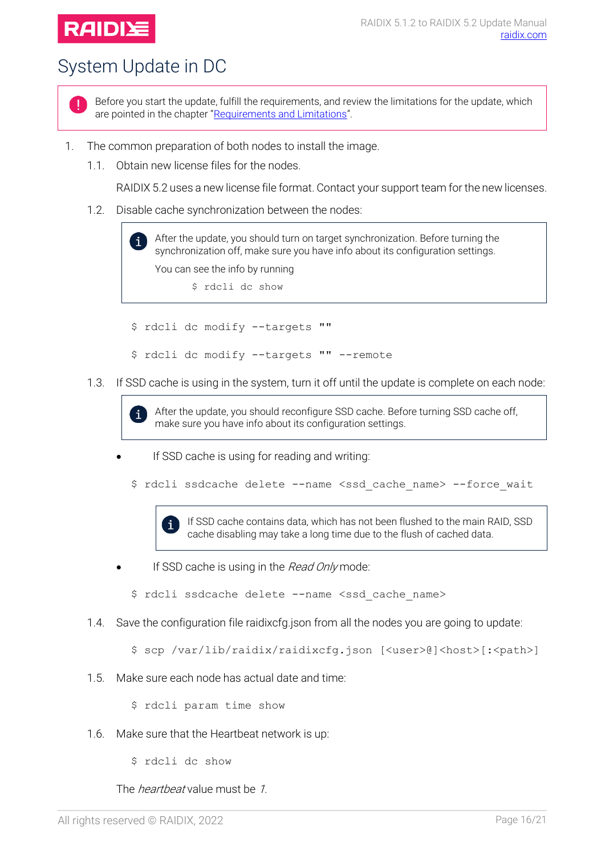## **RAIDI**

# <span id="page-15-0"></span>System Update in DC



Before you start the update, fulfill the requirements, and review the limitations for the update, which are pointed in the chapter "[Requirements and Limitations](#page-3-0)".

- 1. The common preparation of both nodes to install the image.
	- 1.1. Obtain new license files for the nodes.

RAIDIX 5.2 uses a new license file format. Contact your support team for the new licenses.

1.2. Disable cache synchronization between the nodes:

After the update, you should turn on target synchronization. Before turning the i. synchronization off, make sure you have info about its configuration settings. You can see the info by running \$ rdcli dc show

- \$ rdcli dc modify --targets ""
- \$ rdcli dc modify --targets "" --remote
- 1.3. If SSD cache is using in the system, turn it off until the update is complete on each node:

After the update, you should reconfigure SSD cache. Before turning SSD cache off, i make sure you have info about its configuration settings.

- If SSD cache is using for reading and writing:
	- \$ rdcli ssdcache delete --name <ssd\_cache\_name> --force\_wait

If SSD cache contains data, which has not been flushed to the main RAID, SSD  $\mathbf i$ cache disabling may take a long time due to the flush of cached data.

- If SSD cache is using in the *Read Only* mode:
	- \$ rdcli ssdcache delete --name <ssd cache name>
- 1.4. Save the configuration file raidixcfg.json from all the nodes you are going to update:
	- \$ scp /var/lib/raidix/raidixcfg.json [<user>@]<host>[:<path>]
- 1.5. Make sure each node has actual date and time:

\$ rdcli param time show

- 1.6. Make sure that the Heartbeat network is up:
	- \$ rdcli dc show

The *heartbeat* value must be 1.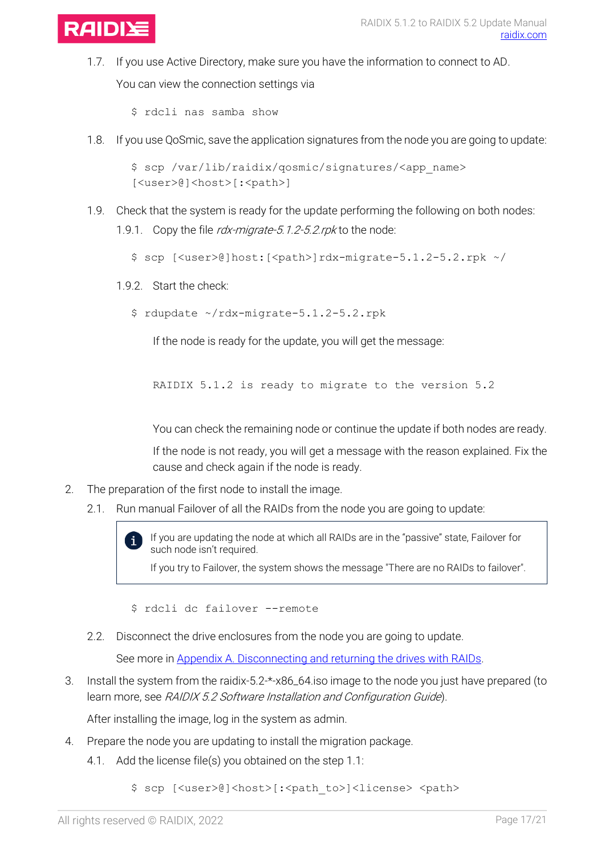

1.7. If you use Active Directory, make sure you have the information to connect to AD.

You can view the connection settings via

\$ rdcli nas samba show

1.8. If you use QoSmic, save the application signatures from the node you are going to update:

```
$ scp /var/lib/raidix/qosmic/signatures/<app_name> 
[<user>@]<host>[:<path>]
```
1.9. Check that the system is ready for the update performing the following on both nodes: 1.9.1. Copy the file *rdx-migrate-5.1.2-5.2.rpk* to the node:

\$ scp [<user>@]host:[<path>]rdx-migrate-5.1.2-5.2.rpk ~/

- 1.9.2. Start the check:
	- \$ rdupdate ~/rdx-migrate-5.1.2-5.2.rpk

If the node is ready for the update, you will get the message:

RAIDIX 5.1.2 is ready to migrate to the version 5.2

You can check the remaining node or continue the update if both nodes are ready.

If the node is not ready, you will get a message with the reason explained. Fix the cause and check again if the node is ready.

- 2. The preparation of the first node to install the image.
	- 2.1. Run manual Failover of all the RAIDs from the node you are going to update:

If you are updating the node at which all RAIDs are in the "passive" state, Failover for such node isn't required.

If you try to Failover, the system shows the message "There are no RAIDs to failover".

\$ rdcli dc failover --remote

2.2. Disconnect the drive enclosures from the node you are going to update.

See more in **Appendix A. Disconnecting and returning the drives with RAIDs.** 

3. Install the system from the raidix-5.2-\*-x86\_64.iso image to the node you just have prepared (to learn more, see RAIDIX 5.2 Software Installation and Configuration Guide).

After installing the image, log in the system as admin.

- 4. Prepare the node you are updating to install the migration package.
	- 4.1. Add the license file(s) you obtained on the step 1.1:

\$ scp [<user>@]<host>[:<path\_to>]<license> <path>

 $\mathbf{i}$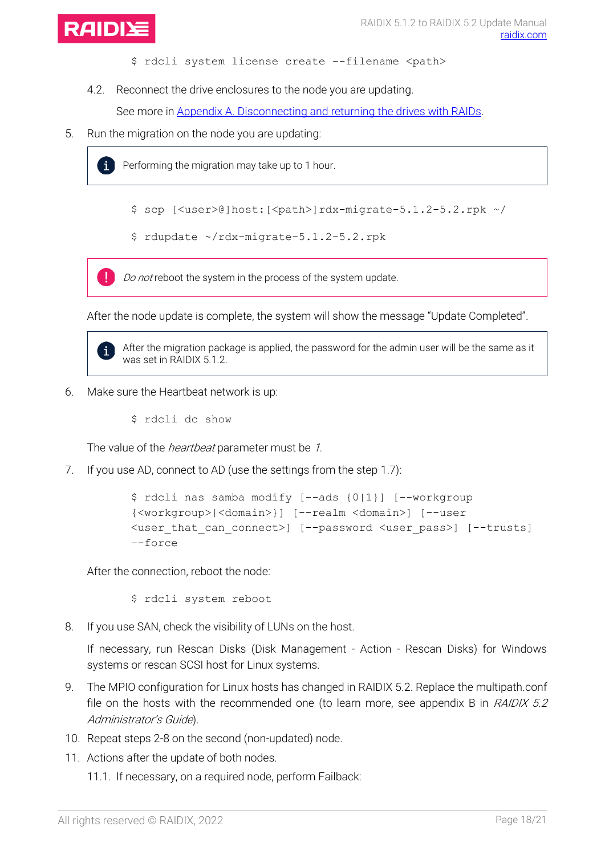

- \$ rdcli system license create --filename <path>
- 4.2. Reconnect the drive enclosures to the node you are updating.

See more in [Appendix A. Disconnecting and returning](#page-19-0) the drives with RAIDs.

5. Run the migration on the node you are updating:



Performing the migration may take up to 1 hour.

- \$ scp [<user>@]host:[<path>]rdx-migrate-5.1.2-5.2.rpk ~/
- \$ rdupdate ~/rdx-migrate-5.1.2-5.2.rpk

Do not reboot the system in the process of the system update.

After the node update is complete, the system will show the message "Update Completed".



After the migration package is applied, the password for the admin user will be the same as it was set in RAIDIX 5.1.2.

- 6. Make sure the Heartbeat network is up:
	- \$ rdcli dc show

The value of the *heartbeat* parameter must be 1.

7. If you use AD, connect to AD (use the settings from the step 1.7):

```
$ rdcli nas samba modify [--ads {0|1}] [--workgroup
{<workgroup>|<domain>}] [--realm <domain>] [--user
<user_that_can_connect>] [--password <user_pass>] [--trusts] 
–-force
```
After the connection, reboot the node:

\$ rdcli system reboot

8. If you use SAN, check the visibility of LUNs on the host.

If necessary, run Rescan Disks (Disk Management - Action - Rescan Disks) for Windows systems or rescan SCSI host for Linux systems.

- 9. The MPIO configuration for Linux hosts has changed in RAIDIX 5.2. Replace the multipath.conf file on the hosts with the recommended one (to learn more, see appendix B in  $RAIDIX$  5.2 Administrator's Guide).
- 10. Repeat steps 2-8 on the second (non-updated) node.
- 11. Actions after the update of both nodes.

11.1. If necessary, on a required node, perform Failback: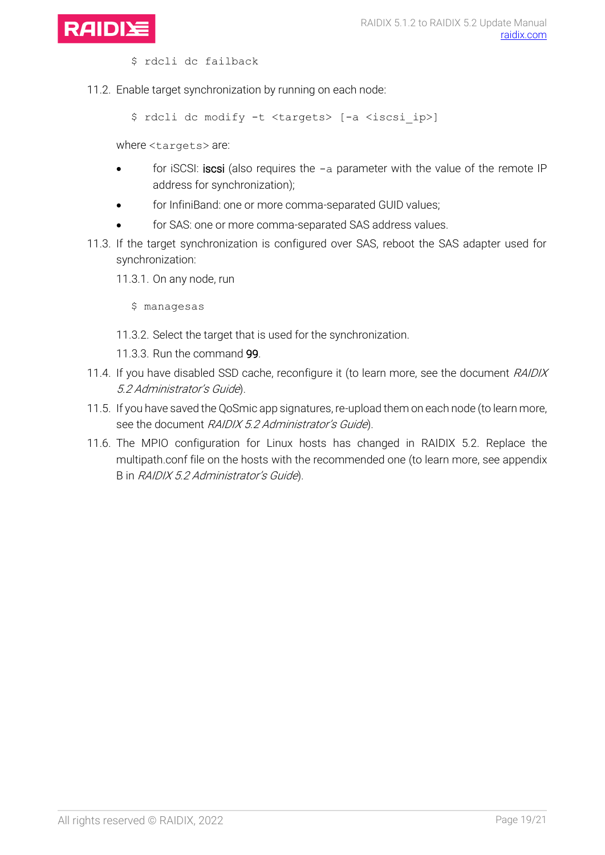

\$ rdcli dc failback

11.2. Enable target synchronization by running on each node:

\$ rdcli dc modify -t <targets> [-a <iscsi\_ip>]

where <targets> are:

- for iSCSI: iscsi (also requires the  $-a$  parameter with the value of the remote IP address for synchronization);
- for InfiniBand: one or more comma-separated GUID values;
- for SAS: one or more comma-separated SAS address values.
- 11.3. If the target synchronization is configured over SAS, reboot the SAS adapter used for synchronization:
	- 11.3.1. On any node, run
		- \$ managesas
	- 11.3.2. Select the target that is used for the synchronization.
	- 11.3.3. Run the command 99.
- 11.4. If you have disabled SSD cache, reconfigure it (to learn more, see the document RAIDIX 5.2 Administrator's Guide).
- 11.5. If you have saved the QoSmic app signatures, re-upload them on each node (to learn more, see the document RAIDIX 5.2 Administrator's Guide).
- 11.6. The MPIO configuration for Linux hosts has changed in RAIDIX 5.2. Replace the multipath.conf file on the hosts with the recommended one (to learn more, see appendix B in RAIDIX 5.2 Administrator's Guide).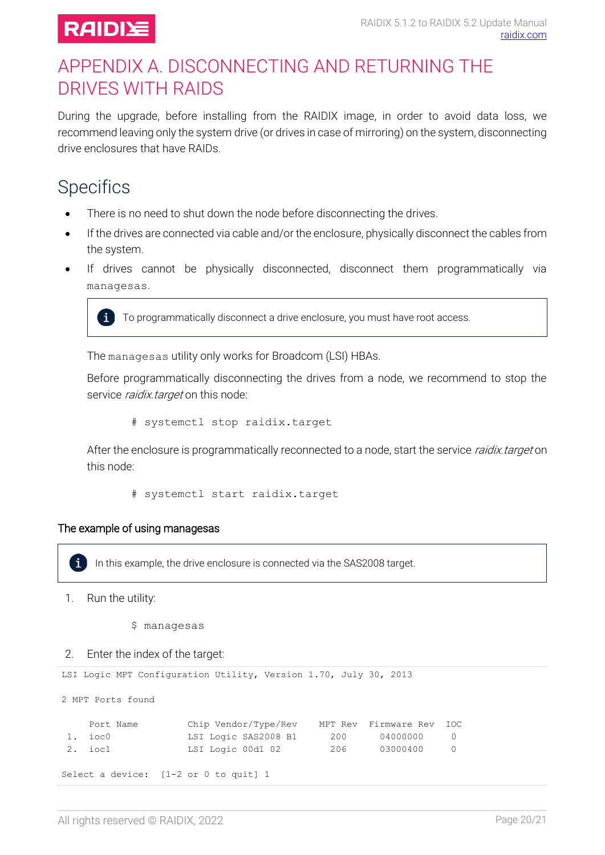

### <span id="page-19-0"></span>APPENDIX A. DISCONNECTING AND RETURNING THE DRIVES WITH RAIDS

During the upgrade, before installing from the RAIDIX image, in order to avoid data loss, we recommend leaving only the system drive (or drives in case of mirroring) on the system, disconnecting drive enclosures that have RAIDs.

### <span id="page-19-1"></span>**Specifics**

- There is no need to shut down the node before disconnecting the drives.
- If the drives are connected via cable and/or the enclosure, physically disconnect the cables from the system.
- If drives cannot be physically disconnected, disconnect them programmatically via managesas.



 $\ddot{\mathbf{i}}$  To programmatically disconnect a drive enclosure, you must have root access.

The managesas utility only works for Broadcom (LSI) HBAs.

Before programmatically disconnecting the drives from a node, we recommend to stop the service *raidix.target* on this node:

# systemctl stop raidix.target

After the enclosure is programmatically reconnected to a node, start the service *raidix target* on this node:

# systemctl start raidix.target

#### The example of using managesas

In this example, the drive enclosure is connected via the SAS2008 target.  $\mathbf{i}$ 

1. Run the utility:

\$ managesas

#### 2. Enter the index of the target:

```
LSI Logic MPT Configuration Utility, Version 1.70, July 30, 2013
```
2 MPT Ports found

| Port Name | Chip Vendor/Type/Rev                    |     | MPT Rev Firmware Rev IOC |  |
|-----------|-----------------------------------------|-----|--------------------------|--|
| 1. ioc0   | LSI Logic SAS2008 B1                    | 200 | 04000000                 |  |
| 2. iocl   | LSI Logic 00d1 02                       | 206 | 03000400                 |  |
|           | Select a device: $[1-2$ or 0 to quit] 1 |     |                          |  |